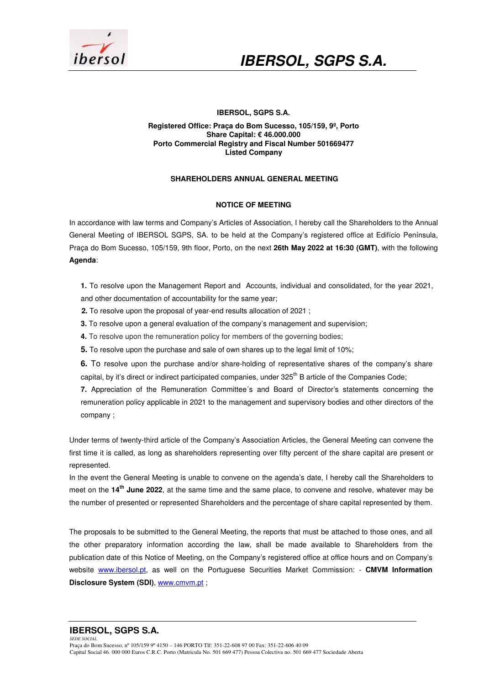

### **IBERSOL, SGPS S.A.**

#### **Registered Office: Praça do Bom Sucesso, 105/159, 9º, Porto Share Capital: € 46.000.000 Porto Commercial Registry and Fiscal Number 501669477 Listed Company**

## **SHAREHOLDERS ANNUAL GENERAL MEETING**

### **NOTICE OF MEETING**

In accordance with law terms and Company's Articles of Association, I hereby call the Shareholders to the Annual General Meeting of IBERSOL SGPS, SA. to be held at the Company's registered office at Edifício Península, Praça do Bom Sucesso, 105/159, 9th floor, Porto, on the next **26th May 2022 at 16:30 (GMT)**, with the following **Agenda**:

**1.** To resolve upon the Management Report and Accounts, individual and consolidated, for the year 2021, and other documentation of accountability for the same year;

- **2.** To resolve upon the proposal of year-end results allocation of 2021 ;
- **3.** To resolve upon a general evaluation of the company's management and supervision;
- **4.** To resolve upon the remuneration policy for members of the governing bodies;
- **5.** To resolve upon the purchase and sale of own shares up to the legal limit of 10%;
- **6.** To resolve upon the purchase and/or share-holding of representative shares of the company's share capital, by it's direct or indirect participated companies, under 325<sup>th</sup> B article of the Companies Code;

**7.** Appreciation of the Remuneration Committee´s and Board of Director's statements concerning the remuneration policy applicable in 2021 to the management and supervisory bodies and other directors of the company ;

Under terms of twenty-third article of the Company's Association Articles, the General Meeting can convene the first time it is called, as long as shareholders representing over fifty percent of the share capital are present or represented.

In the event the General Meeting is unable to convene on the agenda's date, I hereby call the Shareholders to meet on the **14th June 2022**, at the same time and the same place, to convene and resolve, whatever may be the number of presented or represented Shareholders and the percentage of share capital represented by them.

The proposals to be submitted to the General Meeting, the reports that must be attached to those ones, and all the other preparatory information according the law, shall be made available to Shareholders from the publication date of this Notice of Meeting, on the Company's registered office at office hours and on Company's website www.ibersol.pt, as well on the Portuguese Securities Market Commission: - **CMVM Information Disclosure System (SDI)**, www.cmvm.pt ;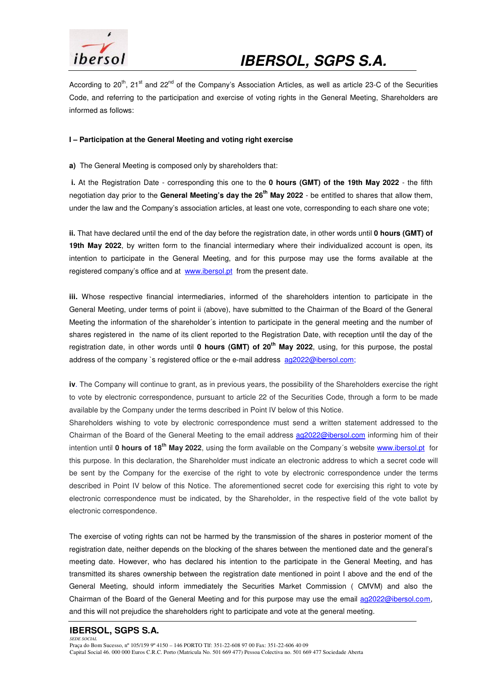

According to 20<sup>th</sup>, 21<sup>st</sup> and 22<sup>nd</sup> of the Company's Association Articles, as well as article 23-C of the Securities Code, and referring to the participation and exercise of voting rights in the General Meeting, Shareholders are informed as follows:

## **I – Participation at the General Meeting and voting right exercise**

**a)** The General Meeting is composed only by shareholders that:

 **i.** At the Registration Date - corresponding this one to the **0 hours (GMT) of the 19th May 2022** - the fifth negotiation day prior to the **General Meeting's day the 26th May 2022** - be entitled to shares that allow them, under the law and the Company's association articles, at least one vote, corresponding to each share one vote;

**ii.** That have declared until the end of the day before the registration date, in other words until **0 hours (GMT) of 19th May 2022**, by written form to the financial intermediary where their individualized account is open, its intention to participate in the General Meeting, and for this purpose may use the forms available at the registered company's office and at www.ibersol.pt from the present date.

**iii.** Whose respective financial intermediaries, informed of the shareholders intention to participate in the General Meeting, under terms of point ii (above), have submitted to the Chairman of the Board of the General Meeting the information of the shareholder´s intention to participate in the general meeting and the number of shares registered in the name of its client reported to the Registration Date, with reception until the day of the registration date, in other words until **0 hours (GMT) of 20th May 2022**, using, for this purpose, the postal address of the company `s registered office or the e-mail address ag2022@ibersol.com;

**iv**. The Company will continue to grant, as in previous years, the possibility of the Shareholders exercise the right to vote by electronic correspondence, pursuant to article 22 of the Securities Code, through a form to be made available by the Company under the terms described in Point IV below of this Notice.

Shareholders wishing to vote by electronic correspondence must send a written statement addressed to the Chairman of the Board of the General Meeting to the email address ag2022@ibersol.com informing him of their intention until **0 hours of 18th May 2022**, using the form available on the Company´s website www.ibersol.pt for this purpose. In this declaration, the Shareholder must indicate an electronic address to which a secret code will be sent by the Company for the exercise of the right to vote by electronic correspondence under the terms described in Point IV below of this Notice. The aforementioned secret code for exercising this right to vote by electronic correspondence must be indicated, by the Shareholder, in the respective field of the vote ballot by electronic correspondence.

The exercise of voting rights can not be harmed by the transmission of the shares in posterior moment of the registration date, neither depends on the blocking of the shares between the mentioned date and the general's meeting date. However, who has declared his intention to the participate in the General Meeting, and has transmitted its shares ownership between the registration date mentioned in point I above and the end of the General Meeting, should inform immediately the Securities Market Commission ( CMVM) and also the Chairman of the Board of the General Meeting and for this purpose may use the email ag2022@ibersol.com, and this will not prejudice the shareholders right to participate and vote at the general meeting.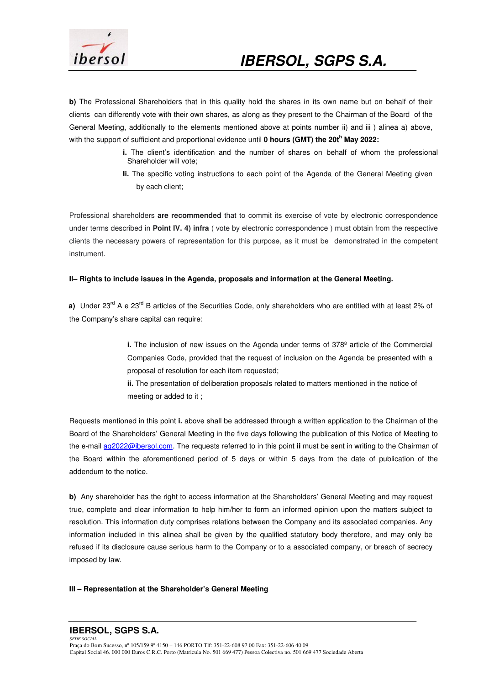

**b)** The Professional Shareholders that in this quality hold the shares in its own name but on behalf of their clients can differently vote with their own shares, as along as they present to the Chairman of the Board of the General Meeting, additionally to the elements mentioned above at points number ii) and iii ) alinea a) above, with the support of sufficient and proportional evidence until **0 hours (GMT) the 20t<sup>h</sup> May 2022:** 

- **i.** The client's identification and the number of shares on behalf of whom the professional Shareholder will vote;
- **Ii.** The specific voting instructions to each point of the Agenda of the General Meeting given by each client;

Professional shareholders **are recommended** that to commit its exercise of vote by electronic correspondence under terms described in **Point IV. 4) infra** ( vote by electronic correspondence ) must obtain from the respective clients the necessary powers of representation for this purpose, as it must be demonstrated in the competent instrument.

## **II– Rights to include issues in the Agenda, proposals and information at the General Meeting.**

**a)** Under 23<sup>rd</sup> A e 23<sup>rd</sup> B articles of the Securities Code, only shareholders who are entitled with at least 2% of the Company's share capital can require:

> **i.** The inclusion of new issues on the Agenda under terms of 378º article of the Commercial Companies Code, provided that the request of inclusion on the Agenda be presented with a proposal of resolution for each item requested;

**ii.** The presentation of deliberation proposals related to matters mentioned in the notice of meeting or added to it ;

Requests mentioned in this point **i.** above shall be addressed through a written application to the Chairman of the Board of the Shareholders' General Meeting in the five days following the publication of this Notice of Meeting to the e-mail ag2022@ibersol.com. The requests referred to in this point **ii** must be sent in writing to the Chairman of the Board within the aforementioned period of 5 days or within 5 days from the date of publication of the addendum to the notice.

**b)** Any shareholder has the right to access information at the Shareholders' General Meeting and may request true, complete and clear information to help him/her to form an informed opinion upon the matters subject to resolution. This information duty comprises relations between the Company and its associated companies. Any information included in this alinea shall be given by the qualified statutory body therefore, and may only be refused if its disclosure cause serious harm to the Company or to a associated company, or breach of secrecy imposed by law.

## **III – Representation at the Shareholder's General Meeting**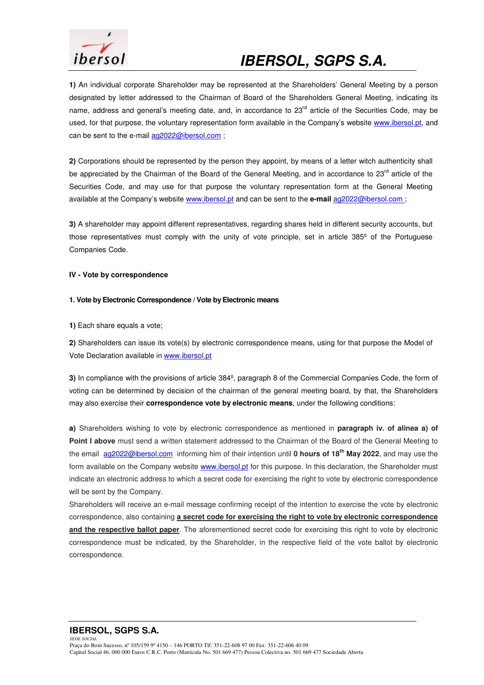

**1)** An individual corporate Shareholder may be represented at the Shareholders' General Meeting by a person designated by letter addressed to the Chairman of Board of the Shareholders General Meeting, indicating its name, address and general's meeting date, and, in accordance to 23<sup>rd</sup> article of the Securities Code, may be used, for that purpose, the voluntary representation form available in the Company's website www.ibersol.pt, and can be sent to the e-mail ag2022@ibersol.com ;

**2)** Corporations should be represented by the person they appoint, by means of a letter witch authenticity shall be appreciated by the Chairman of the Board of the General Meeting, and in accordance to 23<sup>rd</sup> article of the Securities Code, and may use for that purpose the voluntary representation form at the General Meeting available at the Company's website www.ibersol.pt and can be sent to the **e-mail** ag2022@ibersol.com ;

**3)** A shareholder may appoint different representatives, regarding shares held in different security accounts, but those representatives must comply with the unity of vote principle, set in article 385<sup>°</sup> of the Portuguese Companies Code.

### **IV - Vote by correspondence**

### **1. Vote by Electronic Correspondence / Vote by Electronic means**

**1)** Each share equals a vote;

**2)** Shareholders can issue its vote(s) by electronic correspondence means, using for that purpose the Model of Vote Declaration available in www.ibersol.pt

**3)** In compliance with the provisions of article 384º, paragraph 8 of the Commercial Companies Code, the form of voting can be determined by decision of the chairman of the general meeting board, by that, the Shareholders may also exercise their **correspondence vote by electronic means**, under the following conditions:

**a)** Shareholders wishing to vote by electronic correspondence as mentioned in **paragraph iv. of alinea a) of Point I above** must send a written statement addressed to the Chairman of the Board of the General Meeting to the email ag2022@ibersol.com informing him of their intention until **0 hours of 18th May 2022**, and may use the form available on the Company website www.ibersol.pt for this purpose. In this declaration, the Shareholder must indicate an electronic address to which a secret code for exercising the right to vote by electronic correspondence will be sent by the Company.

Shareholders will receive an e-mail message confirming receipt of the intention to exercise the vote by electronic correspondence, also containing **a secret code for exercising the right to vote by electronic correspondence and the respective ballot paper**. The aforementioned secret code for exercising this right to vote by electronic correspondence must be indicated, by the Shareholder, in the respective field of the vote ballot by electronic correspondence.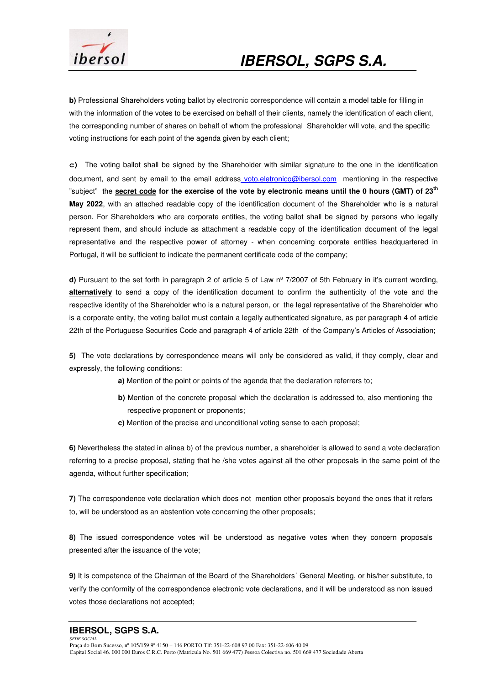

**b)** Professional Shareholders voting ballot by electronic correspondence will contain a model table for filling in with the information of the votes to be exercised on behalf of their clients, namely the identification of each client, the corresponding number of shares on behalf of whom the professional Shareholder will vote, and the specific voting instructions for each point of the agenda given by each client;

**c)** The voting ballot shall be signed by the Shareholder with similar signature to the one in the identification document, and sent by email to the email address voto.eletronico@ibersol.com mentioning in the respective "subject" the **secret code for the exercise of the vote by electronic means until the 0 hours (GMT) of 23th May 2022**, with an attached readable copy of the identification document of the Shareholder who is a natural person. For Shareholders who are corporate entities, the voting ballot shall be signed by persons who legally represent them, and should include as attachment a readable copy of the identification document of the legal representative and the respective power of attorney - when concerning corporate entities headquartered in Portugal, it will be sufficient to indicate the permanent certificate code of the company;

**d)** Pursuant to the set forth in paragraph 2 of article 5 of Law nº 7/2007 of 5th February in it's current wording, **alternatively** to send a copy of the identification document to confirm the authenticity of the vote and the respective identity of the Shareholder who is a natural person, or the legal representative of the Shareholder who is a corporate entity, the voting ballot must contain a legally authenticated signature, as per paragraph 4 of article 22th of the Portuguese Securities Code and paragraph 4 of article 22th of the Company's Articles of Association;

**5)** The vote declarations by correspondence means will only be considered as valid, if they comply, clear and expressly, the following conditions:

 **a)** Mention of the point or points of the agenda that the declaration referrers to;

- **b**) Mention of the concrete proposal which the declaration is addressed to, also mentioning the respective proponent or proponents;
- **c)** Mention of the precise and unconditional voting sense to each proposal;

**6)** Nevertheless the stated in alinea b) of the previous number, a shareholder is allowed to send a vote declaration referring to a precise proposal, stating that he /she votes against all the other proposals in the same point of the agenda, without further specification;

**7)** The correspondence vote declaration which does not mention other proposals beyond the ones that it refers to, will be understood as an abstention vote concerning the other proposals;

**8)** The issued correspondence votes will be understood as negative votes when they concern proposals presented after the issuance of the vote;

**9)** It is competence of the Chairman of the Board of the Shareholders´ General Meeting, or his/her substitute, to verify the conformity of the correspondence electronic vote declarations, and it will be understood as non issued votes those declarations not accepted;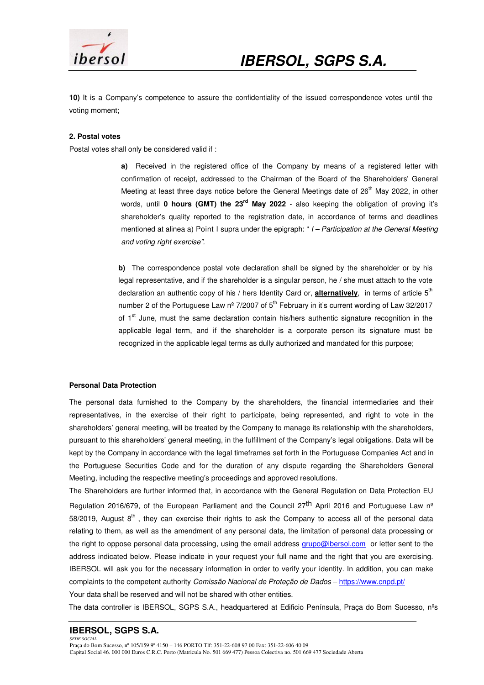

**10)** It is a Company's competence to assure the confidentiality of the issued correspondence votes until the voting moment;

#### **2. Postal votes**

Postal votes shall only be considered valid if :

**a**) Received in the registered office of the Company by means of a registered letter with confirmation of receipt, addressed to the Chairman of the Board of the Shareholders' General Meeting at least three days notice before the General Meetings date of 26<sup>th</sup> May 2022, in other words, until **0 hours (GMT) the 23rd May 2022** - also keeping the obligation of proving it's shareholder's quality reported to the registration date, in accordance of terms and deadlines mentioned at alinea a) Point I supra under the epigraph: " $I$  – Participation at the General Meeting and voting right exercise".

**b**) The correspondence postal vote declaration shall be signed by the shareholder or by his legal representative, and if the shareholder is a singular person, he / she must attach to the vote declaration an authentic copy of his / hers Identity Card or, **alternatively**, in terms of article 5<sup>th</sup> number 2 of the Portuguese Law  $n^{\circ}$  7/2007 of  $5^{th}$  February in it's current wording of Law 32/2017 of  $1<sup>st</sup>$  June, must the same declaration contain his/hers authentic signature recognition in the applicable legal term, and if the shareholder is a corporate person its signature must be recognized in the applicable legal terms as dully authorized and mandated for this purpose;

#### **Personal Data Protection**

The personal data furnished to the Company by the shareholders, the financial intermediaries and their representatives, in the exercise of their right to participate, being represented, and right to vote in the shareholders' general meeting, will be treated by the Company to manage its relationship with the shareholders, pursuant to this shareholders' general meeting, in the fulfillment of the Company's legal obligations. Data will be kept by the Company in accordance with the legal timeframes set forth in the Portuguese Companies Act and in the Portuguese Securities Code and for the duration of any dispute regarding the Shareholders General Meeting, including the respective meeting's proceedings and approved resolutions.

The Shareholders are further informed that, in accordance with the General Regulation on Data Protection EU Regulation 2016/679, of the European Parliament and the Council 27<sup>th</sup> April 2016 and Portuguese Law n<sup>o</sup> 58/2019, August 8<sup>th</sup>, they can exercise their rights to ask the Company to access all of the personal data relating to them, as well as the amendment of any personal data, the limitation of personal data processing or the right to oppose personal data processing, using the email address grupo@ibersol.com or letter sent to the address indicated below. Please indicate in your request your full name and the right that you are exercising. IBERSOL will ask you for the necessary information in order to verify your identity. In addition, you can make complaints to the competent authority Comissão Nacional de Proteção de Dados - https://www.cnpd.pt/

Your data shall be reserved and will not be shared with other entities.

The data controller is IBERSOL, SGPS S.A., headquartered at Edificio Península, Praça do Bom Sucesso, nºs